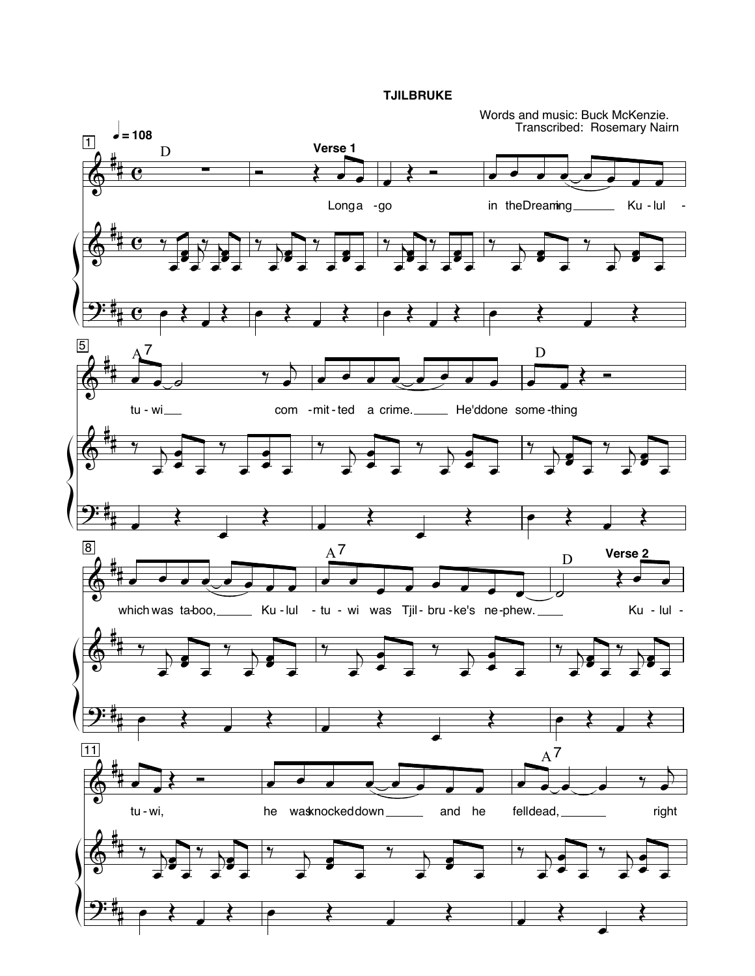**TJILBRUKE** 

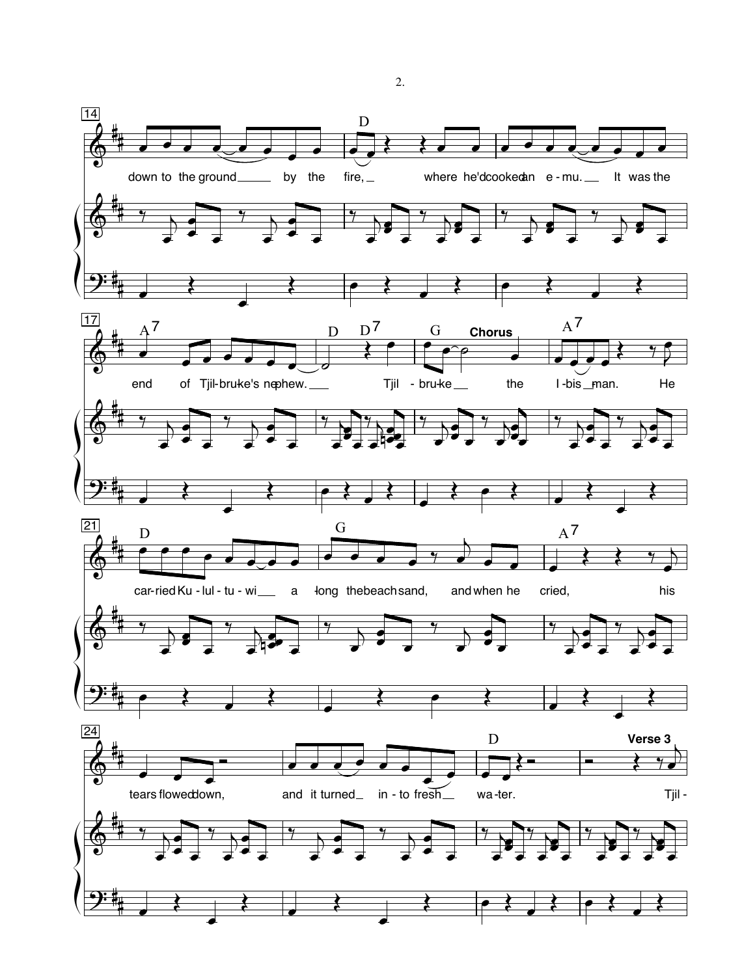

2.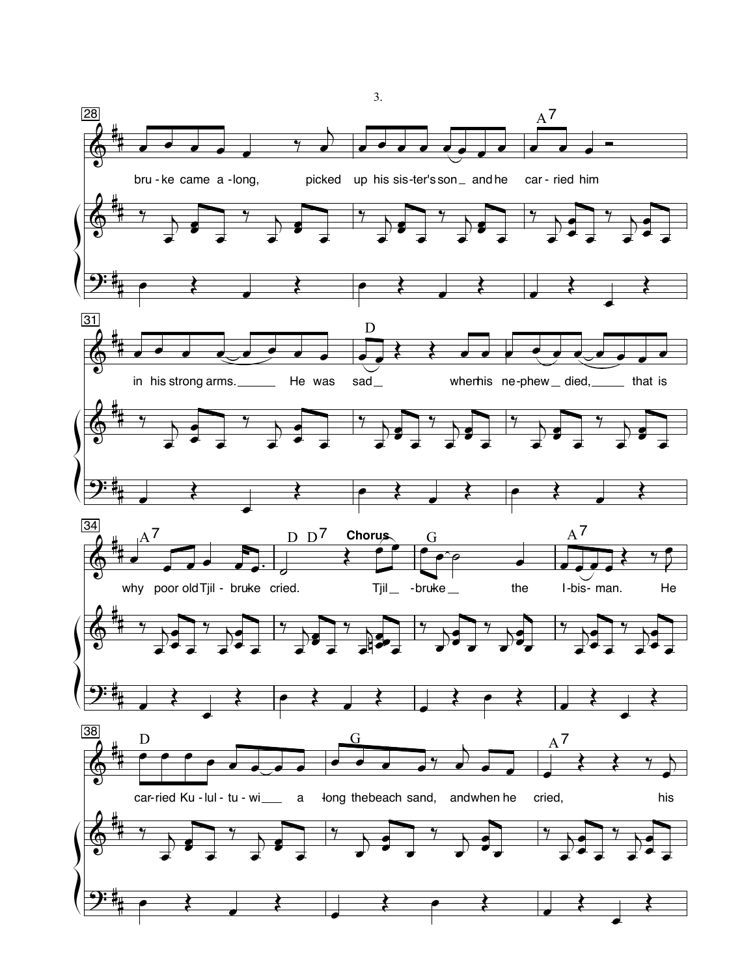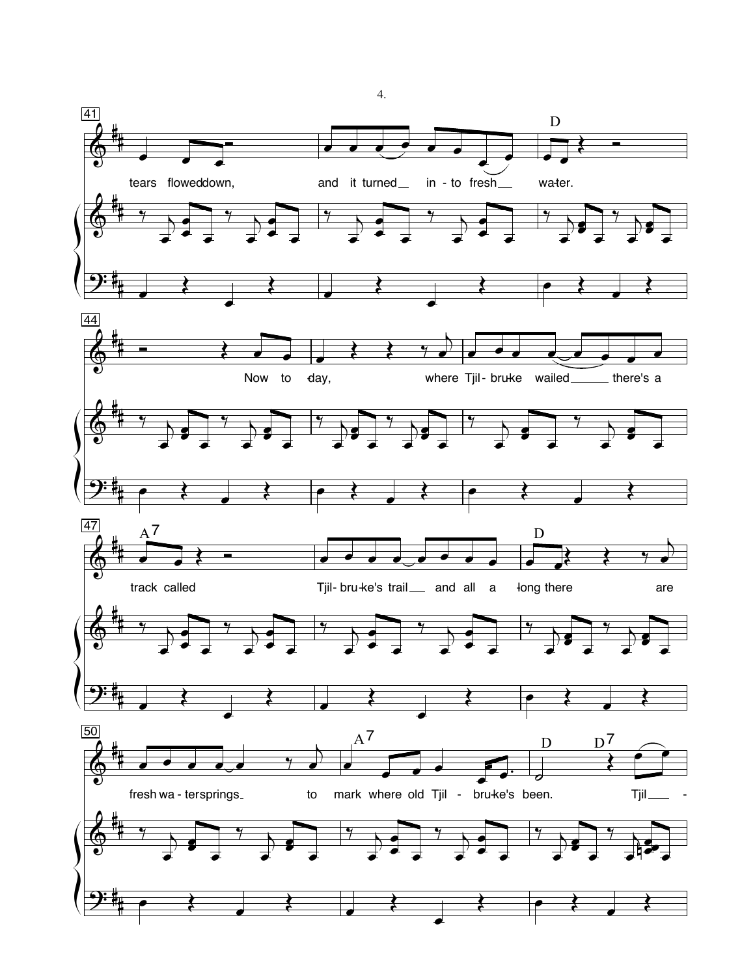